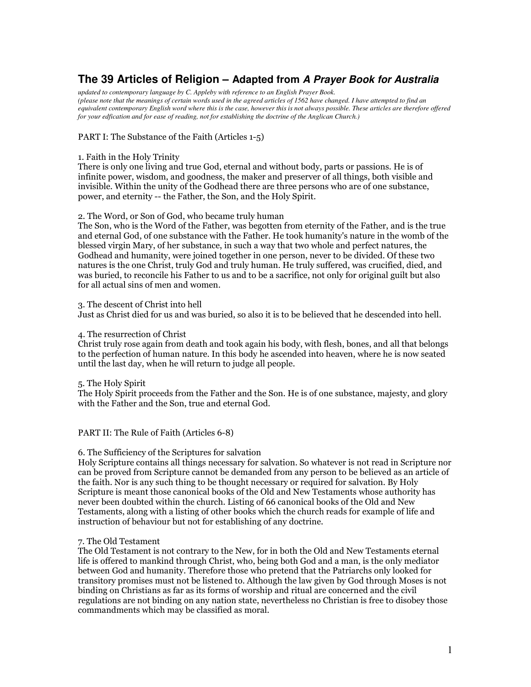# **The 39 Articles of Religion – Adapted from** *A Prayer Book for Australia*

*updated to contemporary language by C. Appleby with reference to an English Prayer Book.* (please note that the meanings of certain words used in the agreed articles of 1562 have changed. I have attempted to find an equivalent contemporary English word where this is the case, however this is not always possible. These articles are therefore offered *for your edfication and for ease of reading, not for establishing the doctrine of the Anglican Church.)*

# PART I: The Substance of the Faith (Articles 1-5)

#### 1. Faith in the Holy Trinity

There is only one living and true God, eternal and without body, parts or passions. He is of infinite power, wisdom, and goodness, the maker and preserver of all things, both visible and invisible. Within the unity of the Godhead there are three persons who are of one substance, power, and eternity -- the Father, the Son, and the Holy Spirit.

## 2. The Word, or Son of God, who became truly human

The Son, who is the Word of the Father, was begotten from eternity of the Father, and is the true and eternal God, of one substance with the Father. He took humanity's nature in the womb of the blessed virgin Mary, of her substance, in such a way that two whole and perfect natures, the Godhead and humanity, were joined together in one person, never to be divided. Of these two natures is the one Christ, truly God and truly human. He truly suffered, was crucified, died, and was buried, to reconcile his Father to us and to be a sacrifice, not only for original guilt but also for all actual sins of men and women.

## 3. The descent of Christ into hell

Just as Christ died for us and was buried, so also it is to be believed that he descended into hell.

## 4. The resurrection of Christ

Christ truly rose again from death and took again his body, with flesh, bones, and all that belongs to the perfection of human nature. In this body he ascended into heaven, where he is now seated until the last day, when he will return to judge all people.

# 5. The Holy Spirit

The Holy Spirit proceeds from the Father and the Son. He is of one substance, majesty, and glory with the Father and the Son, true and eternal God.

#### PART II: The Rule of Faith (Articles 6-8)

# 6. The Sufficiency of the Scriptures for salvation

Holy Scripture contains all things necessary for salvation. So whatever is not read in Scripture nor can be proved from Scripture cannot be demanded from any person to be believed as an article of the faith. Nor is any such thing to be thought necessary or required for salvation. By Holy Scripture is meant those canonical books of the Old and New Testaments whose authority has never been doubted within the church. Listing of 66 canonical books of the Old and New Testaments, along with a listing of other books which the church reads for example of life and instruction of behaviour but not for establishing of any doctrine.

# 7. The Old Testament

The Old Testament is not contrary to the New, for in both the Old and New Testaments eternal life is offered to mankind through Christ, who, being both God and a man, is the only mediator between God and humanity. Therefore those who pretend that the Patriarchs only looked for transitory promises must not be listened to. Although the law given by God through Moses is not binding on Christians as far as its forms of worship and ritual are concerned and the civil regulations are not binding on any nation state, nevertheless no Christian is free to disobey those commandments which may be classified as moral.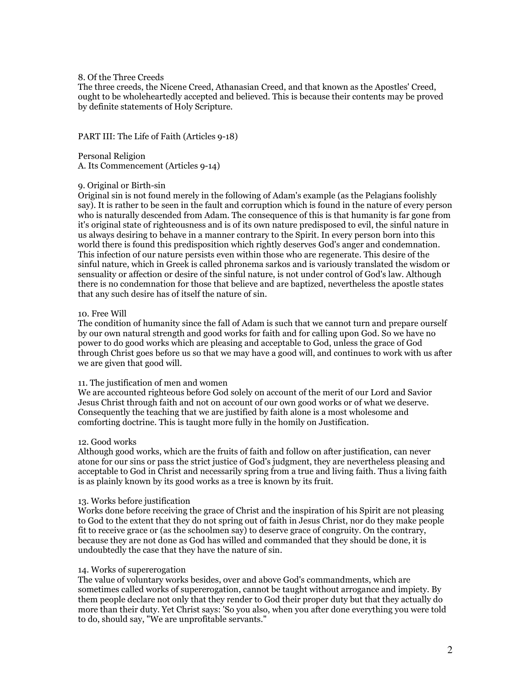## 8. Of the Three Creeds

The three creeds, the Nicene Creed, Athanasian Creed, and that known as the Apostles' Creed, ought to be wholeheartedly accepted and believed. This is because their contents may be proved by definite statements of Holy Scripture.

PART III: The Life of Faith (Articles 9-18)

Personal Religion A. Its Commencement (Articles 9-14)

## 9. Original or Birth-sin

Original sin is not found merely in the following of Adam's example (as the Pelagians foolishly say). It is rather to be seen in the fault and corruption which is found in the nature of every person who is naturally descended from Adam. The consequence of this is that humanity is far gone from it's original state of righteousness and is of its own nature predisposed to evil, the sinful nature in us always desiring to behave in a manner contrary to the Spirit. In every person born into this world there is found this predisposition which rightly deserves God's anger and condemnation. This infection of our nature persists even within those who are regenerate. This desire of the sinful nature, which in Greek is called phronema sarkos and is variously translated the wisdom or sensuality or affection or desire of the sinful nature, is not under control of God's law. Although there is no condemnation for those that believe and are baptized, nevertheless the apostle states that any such desire has of itself the nature of sin.

## 10. Free Will

The condition of humanity since the fall of Adam is such that we cannot turn and prepare ourself by our own natural strength and good works for faith and for calling upon God. So we have no power to do good works which are pleasing and acceptable to God, unless the grace of God through Christ goes before us so that we may have a good will, and continues to work with us after we are given that good will.

#### 11. The justification of men and women

We are accounted righteous before God solely on account of the merit of our Lord and Savior Jesus Christ through faith and not on account of our own good works or of what we deserve. Consequently the teaching that we are justified by faith alone is a most wholesome and comforting doctrine. This is taught more fully in the homily on Justification.

#### 12. Good works

Although good works, which are the fruits of faith and follow on after justification, can never atone for our sins or pass the strict justice of God's judgment, they are nevertheless pleasing and acceptable to God in Christ and necessarily spring from a true and living faith. Thus a living faith is as plainly known by its good works as a tree is known by its fruit.

#### 13. Works before justification

Works done before receiving the grace of Christ and the inspiration of his Spirit are not pleasing to God to the extent that they do not spring out of faith in Jesus Christ, nor do they make people fit to receive grace or (as the schoolmen say) to deserve grace of congruity. On the contrary, because they are not done as God has willed and commanded that they should be done, it is undoubtedly the case that they have the nature of sin.

#### 14. Works of supererogation

The value of voluntary works besides, over and above God's commandments, which are sometimes called works of supererogation, cannot be taught without arrogance and impiety. By them people declare not only that they render to God their proper duty but that they actually do more than their duty. Yet Christ says: 'So you also, when you after done everything you were told to do, should say, "We are unprofitable servants."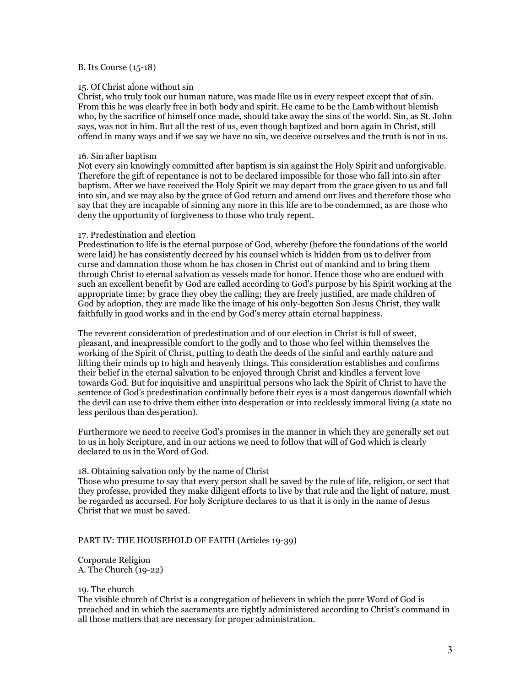## B. Its Course (15-18)

#### 15. Of Christ alone without sin

Christ, who truly took our human nature, was made like us in every respect except that of sin. From this he was clearly free in both body and spirit. He came to be the Lamb without blemish who, by the sacrifice of himself once made, should take away the sins of the world. Sin, as St. John says, was not in him. But all the rest of us, even though baptized and born again in Christ, still offend in many ways and if we say we have no sin, we deceive ourselves and the truth is not in us.

#### 16. Sin after baptism

Not every sin knowingly committed after baptism is sin against the Holy Spirit and unforgivable. Therefore the gift of repentance is not to be declared impossible for those who fall into sin after baptism. After we have received the Holy Spirit we may depart from the grace given to us and fall into sin, and we may also by the grace of God return and amend our lives and therefore those who say that they are incapable of sinning any more in this life are to be condemned, as are those who deny the opportunity of forgiveness to those who truly repent.

## 17. Predestination and election

Predestination to life is the eternal purpose of God, whereby (before the foundations of the world were laid) he has consistently decreed by his counsel which is hidden from us to deliver from curse and damnation those whom he has chosen in Christ out of mankind and to bring them through Christ to eternal salvation as vessels made for honor. Hence those who are endued with such an excellent benefit by God are called according to God's purpose by his Spirit working at the appropriate time; by grace they obey the calling; they are freely justified, are made children of God by adoption, they are made like the image of his only-begotten Son Jesus Christ, they walk faithfully in good works and in the end by God's mercy attain eternal happiness.

The reverent consideration of predestination and of our election in Christ is full of sweet, pleasant, and inexpressible comfort to the godly and to those who feel within themselves the working of the Spirit of Christ, putting to death the deeds of the sinful and earthly nature and lifting their minds up to high and heavenly things. This consideration establishes and confirms their belief in the eternal salvation to be enjoyed through Christ and kindles a fervent love towards God. But for inquisitive and unspiritual persons who lack the Spirit of Christ to have the sentence of God's predestination continually before their eyes is a most dangerous downfall which the devil can use to drive them either into desperation or into recklessly immoral living (a state no less perilous than desperation).

Furthermore we need to receive God's promises in the manner in which they are generally set out to us in holy Scripture, and in our actions we need to follow that will of God which is clearly declared to us in the Word of God.

#### 18. Obtaining salvation only by the name of Christ

Those who presume to say that every person shall be saved by the rule of life, religion, or sect that they professe, provided they make diligent efforts to live by that rule and the light of nature, must be regarded as accursed. For holy Scripture declares to us that it is only in the name of Jesus Christ that we must be saved.

# PART IV: THE HOUSEHOLD OF FAITH (Articles 19-39)

Corporate Religion A. The Church (19-22)

19. The church

The visible church of Christ is a congregation of believers in which the pure Word of God is preached and in which the sacraments are rightly administered according to Christ's command in all those matters that are necessary for proper administration.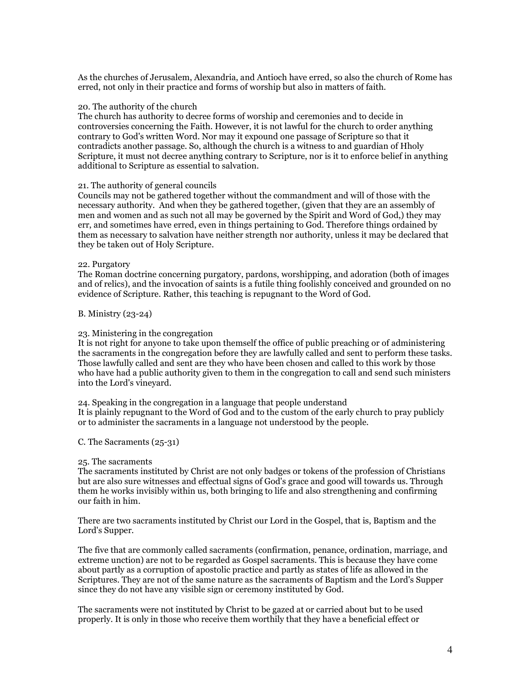As the churches of Jerusalem, Alexandria, and Antioch have erred, so also the church of Rome has erred, not only in their practice and forms of worship but also in matters of faith.

#### 20. The authority of the church

The church has authority to decree forms of worship and ceremonies and to decide in controversies concerning the Faith. However, it is not lawful for the church to order anything contrary to God's written Word. Nor may it expound one passage of Scripture so that it contradicts another passage. So, although the church is a witness to and guardian of Hholy Scripture, it must not decree anything contrary to Scripture, nor is it to enforce belief in anything additional to Scripture as essential to salvation.

## 21. The authority of general councils

Councils may not be gathered together without the commandment and will of those with the necessary authority. And when they be gathered together, (given that they are an assembly of men and women and as such not all may be governed by the Spirit and Word of God.) they may err, and sometimes have erred, even in things pertaining to God. Therefore things ordained by them as necessary to salvation have neither strength nor authority, unless it may be declared that they be taken out of Holy Scripture.

#### 22. Purgatory

The Roman doctrine concerning purgatory, pardons, worshipping, and adoration (both of images and of relics), and the invocation of saints is a futile thing foolishly conceived and grounded on no evidence of Scripture. Rather, this teaching is repugnant to the Word of God.

## B. Ministry (23-24)

## 23. Ministering in the congregation

It is not right for anyone to take upon themself the office of public preaching or of administering the sacraments in the congregation before they are lawfully called and sent to perform these tasks. Those lawfully called and sent are they who have been chosen and called to this work by those who have had a public authority given to them in the congregation to call and send such ministers into the Lord's vineyard.

24. Speaking in the congregation in a language that people understand It is plainly repugnant to the Word of God and to the custom of the early church to pray publicly or to administer the sacraments in a language not understood by the people.

#### C. The Sacraments  $(25-31)$

#### 25. The sacraments

The sacraments instituted by Christ are not only badges or tokens of the profession of Christians but are also sure witnesses and effectual signs of God's grace and good will towards us. Through them he works invisibly within us, both bringing to life and also strengthening and confirming our faith in him.

There are two sacraments instituted by Christ our Lord in the Gospel, that is, Baptism and the Lord's Supper.

The five that are commonly called sacraments (confirmation, penance, ordination, marriage, and extreme unction) are not to be regarded as Gospel sacraments. This is because they have come about partly as a corruption of apostolic practice and partly as states of life as allowed in the Scriptures. They are not of the same nature as the sacraments of Baptism and the Lord's Supper since they do not have any visible sign or ceremony instituted by God.

The sacraments were not instituted by Christ to be gazed at or carried about but to be used properly. It is only in those who receive them worthily that they have a beneficial effect or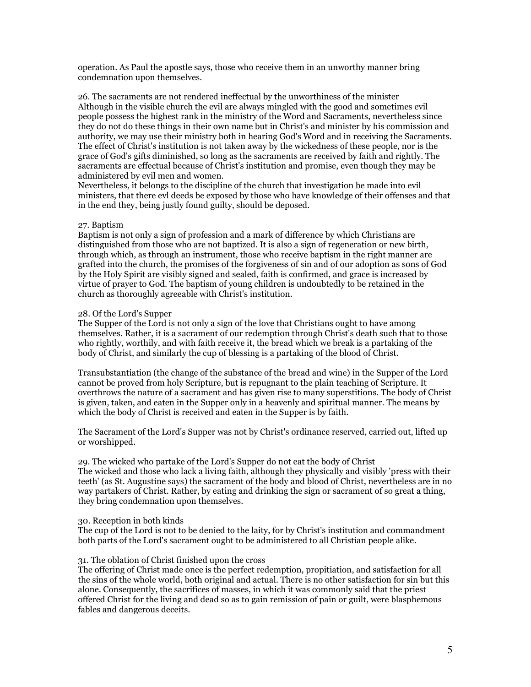operation. As Paul the apostle says, those who receive them in an unworthy manner bring condemnation upon themselves.

26. The sacraments are not rendered ineffectual by the unworthiness of the minister Although in the visible church the evil are always mingled with the good and sometimes evil people possess the highest rank in the ministry of the Word and Sacraments, nevertheless since they do not do these things in their own name but in Christ's and minister by his commission and authority, we may use their ministry both in hearing God's Word and in receiving the Sacraments. The effect of Christ's institution is not taken away by the wickedness of these people, nor is the grace of God's gifts diminished, so long as the sacraments are received by faith and rightly. The sacraments are effectual because of Christ's institution and promise, even though they may be administered by evil men and women.

Nevertheless, it belongs to the discipline of the church that investigation be made into evil ministers, that there evl deeds be exposed by those who have knowledge of their offenses and that in the end they, being justly found guilty, should be deposed.

## 27. Baptism

Baptism is not only a sign of profession and a mark of difference by which Christians are distinguished from those who are not baptized. It is also a sign of regeneration or new birth, through which, as through an instrument, those who receive baptism in the right manner are grafted into the church, the promises of the forgiveness of sin and of our adoption as sons of God by the Holy Spirit are visibly signed and sealed, faith is confirmed, and grace is increased by virtue of prayer to God. The baptism of young children is undoubtedly to be retained in the church as thoroughly agreeable with Christ's institution.

## 28. Of the Lord's Supper

The Supper of the Lord is not only a sign of the love that Christians ought to have among themselves. Rather, it is a sacrament of our redemption through Christ's death such that to those who rightly, worthily, and with faith receive it, the bread which we break is a partaking of the body of Christ, and similarly the cup of blessing is a partaking of the blood of Christ.

Transubstantiation (the change of the substance of the bread and wine) in the Supper of the Lord cannot be proved from holy Scripture, but is repugnant to the plain teaching of Scripture. It overthrows the nature of a sacrament and has given rise to many superstitions. The body of Christ is given, taken, and eaten in the Supper only in a heavenly and spiritual manner. The means by which the body of Christ is received and eaten in the Supper is by faith.

The Sacrament of the Lord's Supper was not by Christ's ordinance reserved, carried out, lifted up or worshipped.

29. The wicked who partake of the Lord's Supper do not eat the body of Christ The wicked and those who lack a living faith, although they physically and visibly 'press with their teeth' (as St. Augustine says) the sacrament of the body and blood of Christ, nevertheless are in no way partakers of Christ. Rather, by eating and drinking the sign or sacrament of so great a thing, they bring condemnation upon themselves.

# 30. Reception in both kinds

The cup of the Lord is not to be denied to the laity, for by Christ's institution and commandment both parts of the Lord's sacrament ought to be administered to all Christian people alike.

# 31. The oblation of Christ finished upon the cross

The offering of Christ made once is the perfect redemption, propitiation, and satisfaction for all the sins of the whole world, both original and actual. There is no other satisfaction for sin but this alone. Consequently, the sacrifices of masses, in which it was commonly said that the priest offered Christ for the living and dead so as to gain remission of pain or guilt, were blasphemous fables and dangerous deceits.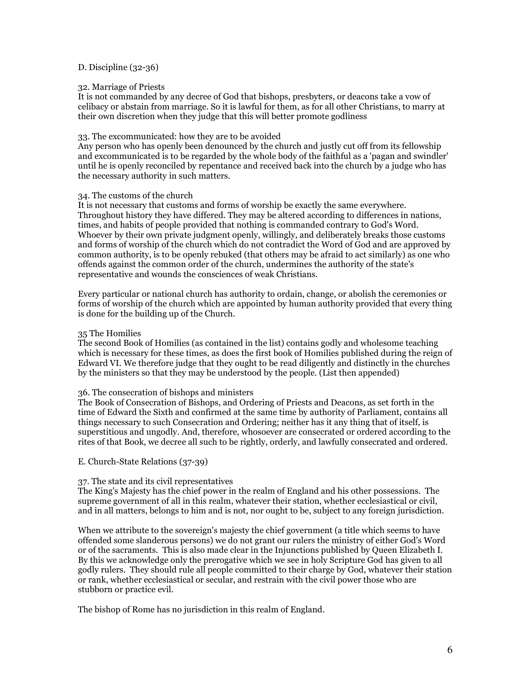# D. Discipline  $(32-36)$

## 32. Marriage of Priests

It is not commanded by any decree of God that bishops, presbyters, or deacons take a yow of celibacy or abstain from marriage. So it is lawful for them, as for all other Christians, to marry at their own discretion when they judge that this will better promote godliness

#### 33. The excommunicated: how they are to be avoided

Any person who has openly been denounced by the church and justly cut off from its fellowship and excommunicated is to be regarded by the whole body of the faithful as a 'pagan and swindler' until he is openly reconciled by repentance and received back into the church by a judge who has the necessary authority in such matters.

# 34. The customs of the church

It is not necessary that customs and forms of worship be exactly the same everywhere. Throughout history they have differed. They may be altered according to differences in nations, times, and habits of people provided that nothing is commanded contrary to God's Word. Whoever by their own private judgment openly, willingly, and deliberately breaks those customs and forms of worship of the church which do not contradict the Word of God and are approved by common authority, is to be openly rebuked (that others may be afraid to act similarly) as one who offends against the common order of the church, undermines the authority of the state's representative and wounds the consciences of weak Christians.

Every particular or national church has authority to ordain, change, or abolish the ceremonies or forms of worship of the church which are appointed by human authority provided that every thing is done for the building up of the Church.

## 35 The Homilies

The second Book of Homilies (as contained in the list) contains godly and wholesome teaching which is necessary for these times, as does the first book of Homilies published during the reign of Edward VI. We therefore judge that they ought to be read diligently and distinctly in the churches by the ministers so that they may be understood by the people. (List then appended)

# 36. The consecration of bishops and ministers

The Book of Consecration of Bishops, and Ordering of Priests and Deacons, as set forth in the time of Edward the Sixth and confirmed at the same time by authority of Parliament, contains all things necessary to such Consecration and Ordering; neither has it any thing that of itself, is superstitious and ungodly. And, therefore, whosoever are consecrated or ordered according to the rites of that Book, we decree all such to be rightly, orderly, and lawfully consecrated and ordered.

#### E. Church-State Relations (37-39)

# 37. The state and its civil representatives

The King's Majesty has the chief power in the realm of England and his other possessions. The supreme government of all in this realm, whatever their station, whether ecclesiastical or civil, and in all matters, belongs to him and is not, nor ought to be, subject to any foreign jurisdiction.

When we attribute to the sovereign's majesty the chief government (a title which seems to have offended some slanderous persons) we do not grant our rulers the ministry of either God's Word or of the sacraments. This is also made clear in the Injunctions published by Queen Elizabeth I. By this we acknowledge only the prerogative which we see in holy Scripture God has given to all godly rulers. They should rule all people committed to their charge by God, whatever their station or rank, whether ecclesiastical or secular, and restrain with the civil power those who are stubborn or practice evil.

The bishop of Rome has no jurisdiction in this realm of England.